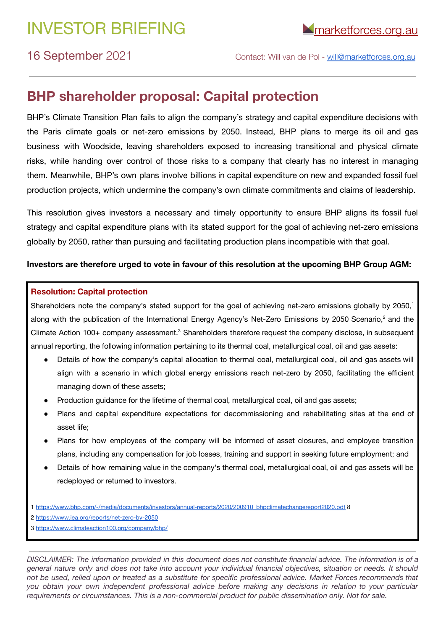# INVESTOR BRIEFING **Marketforces.org.au**

16 September 2021 Contact: Will van de Pol - [will@marketforces.org.au](mailto:will@marketforces.org.au)

### **BHP shareholder proposal: Capital protection**

BHP's Climate Transition Plan fails to align the company's strategy and capital expenditure decisions with the Paris climate goals or net-zero emissions by 2050. Instead, BHP plans to merge its oil and gas business with Woodside, leaving shareholders exposed to increasing transitional and physical climate risks, while handing over control of those risks to a company that clearly has no interest in managing them. Meanwhile, BHP's own plans involve billions in capital expenditure on new and expanded fossil fuel production projects, which undermine the company's own climate commitments and claims of leadership.

This resolution gives investors a necessary and timely opportunity to ensure BHP aligns its fossil fuel strategy and capital expenditure plans with its stated support for the goal of achieving net-zero emissions globally by 2050, rather than pursuing and facilitating production plans incompatible with that goal.

#### **Investors are therefore urged to vote in favour of this resolution at the upcoming BHP Group AGM:**

#### **Resolution: Capital protection**

Shareholders note the company's stated support for the goal of achieving net-zero emissions globally by 2050,<sup>1</sup> along with the publication of the International Energy Agency's Net-Zero Emissions by 2050 Scenario,<sup>2</sup> and the Climate Action 100+ company assessment.<sup>3</sup> Shareholders therefore request the company disclose, in subsequent annual reporting, the following information pertaining to its thermal coal, metallurgical coal, oil and gas assets:

- Details of how the company's capital allocation to thermal coal, metallurgical coal, oil and gas assets will align with a scenario in which global energy emissions reach net-zero by 2050, facilitating the efficient managing down of these assets;
- Production guidance for the lifetime of thermal coal, metallurgical coal, oil and gas assets;
- Plans and capital expenditure expectations for decommissioning and rehabilitating sites at the end of asset life;
- Plans for how employees of the company will be informed of asset closures, and employee transition plans, including any compensation for job losses, training and support in seeking future employment; and
- Details of how remaining value in the company's thermal coal, metallurgical coal, oil and gas assets will be redeployed or returned to investors.
- 1 [https://www.bhp.com/-/media/documents/investors/annual-reports/2020/200910\\_bhpclimatechangereport2020.pdf](https://www.bhp.com/-/media/documents/investors/annual-reports/2020/200910_bhpclimatechangereport2020.pdf) 8

2 <https://www.iea.org/reports/net-zero-by-2050>

3 <https://www.climateaction100.org/company/bhp/>

DISCLAIMER: The information provided in this document does not constitute financial advice. The information is of a general nature only and does not take into account your individual financial objectives, situation or needs. It should not be used, relied upon or treated as a substitute for specific professional advice. Market Forces recommends that *you obtain your own independent professional advice before making any decisions in relation to your particular requirements or circumstances. This is a non-commercial product for public dissemination only. Not for sale.*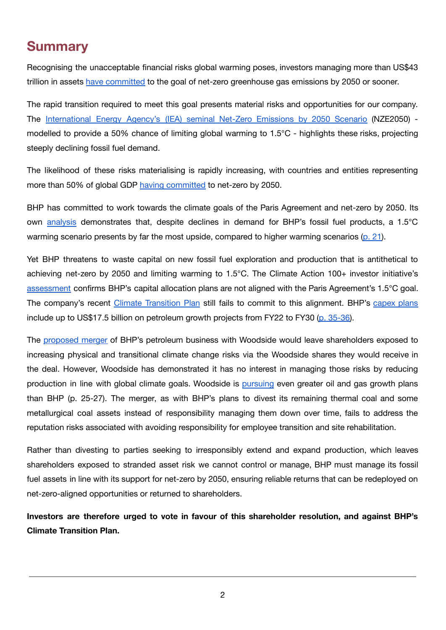## **Summary**

Recognising the unacceptable financial risks global warming poses, investors managing more than US\$43 trillion in assets have [committed](https://www.netzeroassetmanagers.org/) to the goal of net-zero greenhouse gas emissions by 2050 or sooner.

The rapid transition required to meet this goal presents material risks and opportunities for our company. The [International](https://www.iea.org/reports/net-zero-by-2050) Energy Agency's (IEA) seminal Net-Zero Emissions by 2050 Scenario (NZE2050) modelled to provide a 50% chance of limiting global warming to 1.5°C - highlights these risks, projecting steeply declining fossil fuel demand.

The likelihood of these risks materialising is rapidly increasing, with countries and entities representing more than 50% of global GDP having [committed](https://unfccc.int/climate-action/race-to-zero-campaign) to net-zero by 2050.

BHP has committed to work towards the climate goals of the Paris Agreement and net-zero by 2050. Its own [analysis](https://www.bhp.com/-/media/documents/investors/annual-reports/2020/200910_bhpclimatechangereport2020.pdf) demonstrates that, despite declines in demand for BHP's fossil fuel products, a 1.5°C warming scenario presents by far the most upside, compared to higher warming scenarios (p. [21](https://www.bhp.com/-/media/documents/investors/annual-reports/2020/200910_bhpclimatechangereport2020.pdf)).

Yet BHP threatens to waste capital on new fossil fuel exploration and production that is antithetical to achieving net-zero by 2050 and limiting warming to 1.5°C. The Climate Action 100+ investor initiative's [assessment](https://www.climateaction100.org/company/bhp/) confirms BHP's capital allocation plans are not aligned with the Paris Agreement's 1.5°C goal. The company's recent Climate [Transition](https://www.bhp.com/-/media/documents/investors/annual-reports/2021/210914_bhpclimatetransitionactionplan2021.pdf) Plan still fails to commit to this alignment. BHP's [capex](https://www.bhp.com/-/media/documents/media/reports-and-presentations/2021/210817_bhpresultsfortheyearended30june2021_presentation.pdf?la=en) plans include up to US\$17.5 billion on petroleum growth projects from FY22 to FY30 (p. [35-36\)](https://www.bhp.com/-/media/documents/media/reports-and-presentations/2021/210817_bhpresultsfortheyearended30june2021_presentation.pdf?la=en).

The [proposed](https://cdn-api.markitdigital.com/apiman-gateway/ASX/asx-research/1.0/file/2924-02407972-6A1045976?access_token=83ff96335c2d45a094df02a206a39ff4) merger of BHP's petroleum business with Woodside would leave shareholders exposed to increasing physical and transitional climate change risks via the Woodside shares they would receive in the deal. However, Woodside has demonstrated it has no interest in managing those risks by reducing production in line with global climate goals. Woodside is [pursuing](https://cdn-api.markitdigital.com/apiman-gateway/ASX/asx-research/1.0/file/2924-02407972-6A1045976?access_token=83ff96335c2d45a094df02a206a39ff4) even greater oil and gas growth plans than BHP (p. 25-27). The merger, as with BHP's plans to divest its remaining thermal coal and some metallurgical coal assets instead of responsibility managing them down over time, fails to address the reputation risks associated with avoiding responsibility for employee transition and site rehabilitation.

Rather than divesting to parties seeking to irresponsibly extend and expand production, which leaves shareholders exposed to stranded asset risk we cannot control or manage, BHP must manage its fossil fuel assets in line with its support for net-zero by 2050, ensuring reliable returns that can be redeployed on net-zero-aligned opportunities or returned to shareholders.

**Investors are therefore urged to vote in favour of this shareholder resolution, and against BHP's Climate Transition Plan.**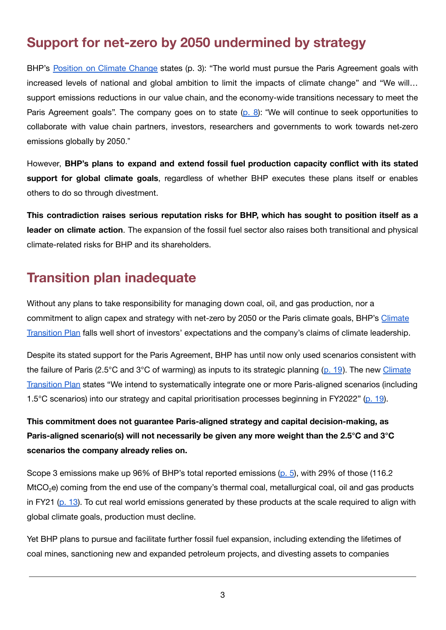# **Support for net-zero by 2050 undermined by strategy**

BHP's [Position](https://www.bhp.com/-/media/documents/investors/annual-reports/2020/200910_bhpclimatechangereport2020.pdf) on Climate Change states (p. 3): "The world must pursue the Paris Agreement goals with increased levels of national and global ambition to limit the impacts of climate change" and "We will… support emissions reductions in our value chain, and the economy-wide transitions necessary to meet the Paris Agreement goals". The company goes on to state  $(p, 8)$ : "We will continue to seek opportunities to collaborate with value chain partners, investors, researchers and governments to work towards net-zero emissions globally by 2050."

However, **BHP's plans to expand and extend fossil fuel production capacity conflict with its stated support for global climate goals**, regardless of whether BHP executes these plans itself or enables others to do so through divestment.

**This contradiction raises serious reputation risks for BHP, which has sought to position itself as a leader on climate action**. The expansion of the fossil fuel sector also raises both transitional and physical climate-related risks for BHP and its shareholders.

# **Transition plan inadequate**

Without any plans to take responsibility for managing down coal, oil, and gas production, nor a commitment to align capex and strategy with net-zero by 2050 or the Paris climate goals, BHP's [Climate](https://www.bhp.com/-/media/documents/investors/annual-reports/2021/210914_bhpclimatetransitionactionplan2021.pdf) [Transition](https://www.bhp.com/-/media/documents/investors/annual-reports/2021/210914_bhpclimatetransitionactionplan2021.pdf) Plan falls well short of investors' expectations and the company's claims of climate leadership.

Despite its stated support for the Paris Agreement, BHP has until now only used scenarios consistent with the failure of Paris (2.5°C and 3°C of warming) as inputs to its strategic planning (p. [19](https://www.bhp.com/-/media/documents/investors/annual-reports/2020/200910_bhpclimatechangereport2020.pdf)). The new [Climate](https://www.bhp.com/-/media/documents/investors/annual-reports/2021/210914_bhpclimatetransitionactionplan2021.pdf) [Transition](https://www.bhp.com/-/media/documents/investors/annual-reports/2021/210914_bhpclimatetransitionactionplan2021.pdf) Plan states "We intend to systematically integrate one or more Paris-aligned scenarios (including 1.5°C scenarios) into our strategy and capital prioritisation processes beginning in FY2022" (p. [19](https://www.bhp.com/-/media/documents/investors/annual-reports/2021/210914_bhpclimatetransitionactionplan2021.pdf)).

**This commitment does not guarantee Paris-aligned strategy and capital decision-making, as Paris-aligned scenario(s) will not necessarily be given any more weight than the 2.5°C and 3°C scenarios the company already relies on.**

Scope 3 emissions make up 96% of BHP's total reported emissions [\(p.](https://www.bhp.com/-/media/documents/investors/annual-reports/2021/210914_bhpclimatetransitionactionplan2021.pdf) 5), with 29% of those (116.2 MtCO<sub>2</sub>e) coming from the end use of the company's thermal coal, metallurgical coal, oil and gas products in FY21 (p. [13](https://www.bhp.com/-/media/documents/investors/annual-reports/2021/210914_bhpclimatetransitionactionplan2021.pdf)). To cut real world emissions generated by these products at the scale required to align with global climate goals, production must decline.

Yet BHP plans to pursue and facilitate further fossil fuel expansion, including extending the lifetimes of coal mines, sanctioning new and expanded petroleum projects, and divesting assets to companies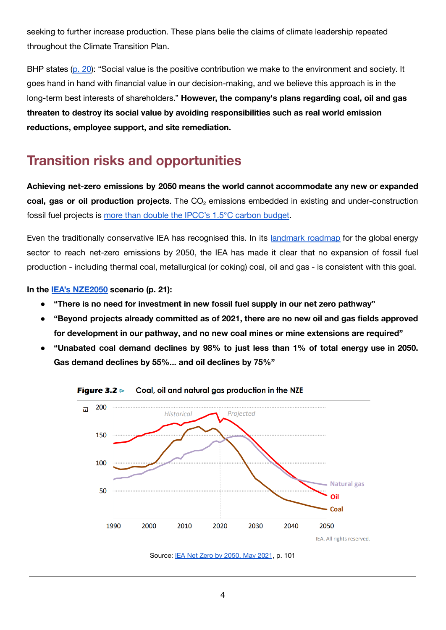seeking to further increase production. These plans belie the claims of climate leadership repeated throughout the Climate Transition Plan.

BHP states (p. [20\)](https://www.bhp.com/-/media/documents/investors/annual-reports/2021/210914_bhpclimatetransitionactionplan2021.pdf): "Social value is the positive contribution we make to the environment and society. It goes hand in hand with financial value in our decision-making, and we believe this approach is in the long-term best interests of shareholders." **However, the company's plans regarding coal, oil and gas threaten to destroy its social value by avoiding responsibilities such as real world emission reductions, employee support, and site remediation.**

# **Transition risks and opportunities**

**Achieving net-zero emissions by 2050 means the world cannot accommodate any new or expanded coal, gas or oil production projects**. The CO<sub>2</sub> emissions embedded in existing and under-construction fossil fuel projects is more than double the IPCC's 1.5°C carbon [budget.](http://priceofoil.org/2018/10/17/the-skys-limit-ipcc-report-15-degrees-of-warming/)

Even the traditionally conservative IEA has recognised this. In its [landmark](https://www.iea.org/reports/net-zero-by-2050) roadmap for the global energy sector to reach net-zero emissions by 2050, the IEA has made it clear that no expansion of fossil fuel production - including thermal coal, metallurgical (or coking) coal, oil and gas - is consistent with this goal.

**In the IEA's [NZE2050](https://www.iea.org/reports/net-zero-by-2050) scenario (p. 21):**

- **● "There is no need for investment in new fossil fuel supply in our net zero pathway"**
- **● "Beyond projects already committed as of 2021, there are no new oil and gas fields approved for development in our pathway, and no new coal mines or mine extensions are required"**
- **● "Unabated coal demand declines by 98% to just less than 1% of total energy use in 2050. Gas demand declines by 55%... and oil declines by 75%"**





Source: [IEA Net Zero by 2050, May 2021](https://iea.blob.core.windows.net/assets/beceb956-0dcf-4d73-89fe-1310e3046d68/NetZeroby2050-ARoadmapfortheGlobalEnergySector_CORR.pdf), p. 101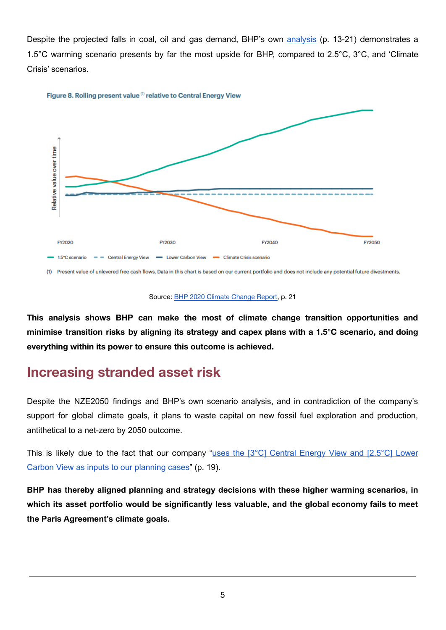Despite the projected falls in coal, oil and gas demand, BHP's own [analysis](https://www.bhp.com/-/media/documents/investors/annual-reports/2020/200910_bhpclimatechangereport2020.pdf) (p. 13-21) demonstrates a 1.5°C warming scenario presents by far the most upside for BHP, compared to 2.5°C, 3°C, and 'Climate Crisis' scenarios.



#### Figure 8. Rolling present value (1) relative to Central Energy View



**This analysis shows BHP can make the most of climate change transition opportunities and minimise transition risks by aligning its strategy and capex plans with a 1.5°C scenario, and doing everything within its power to ensure this outcome is achieved.**

### **Increasing stranded asset risk**

Despite the NZE2050 findings and BHP's own scenario analysis, and in contradiction of the company's support for global climate goals, it plans to waste capital on new fossil fuel exploration and production, antithetical to a net-zero by 2050 outcome.

This is likely due to the fact that our company "uses the [3°C] [Central](https://www.bhp.com/-/media/documents/investors/annual-reports/2020/200910_bhpclimatechangereport2020.pdf) Energy View and [2.5°C] Lower Carbon View as inputs to our [planning](https://www.bhp.com/-/media/documents/investors/annual-reports/2020/200910_bhpclimatechangereport2020.pdf) cases" (p. 19).

**BHP has thereby aligned planning and strategy decisions with these higher warming scenarios, in which its asset portfolio would be significantly less valuable, and the global economy fails to meet the Paris Agreement's climate goals.**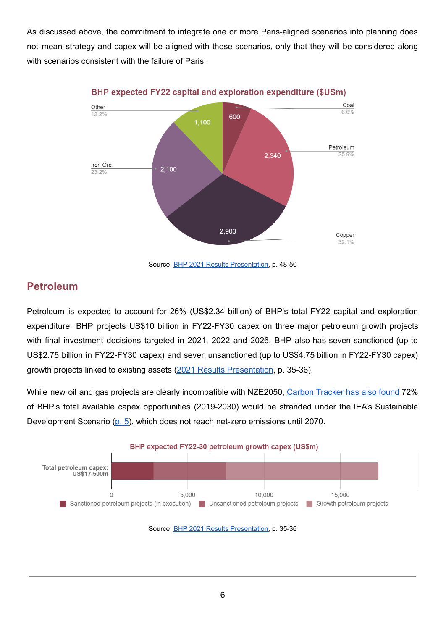As discussed above, the commitment to integrate one or more Paris-aligned scenarios into planning does not mean strategy and capex will be aligned with these scenarios, only that they will be considered along with scenarios consistent with the failure of Paris.



Source: [BHP 2021 Results Presentation,](https://www.bhp.com/investors/financial-results-operational-reviews/2021) p. 48-50

### **Petroleum**

Petroleum is expected to account for 26% (US\$2.34 billion) of BHP's total FY22 capital and exploration expenditure. BHP projects US\$10 billion in FY22-FY30 capex on three major petroleum growth projects with final investment decisions targeted in 2021, 2022 and 2026. BHP also has seven sanctioned (up to US\$2.75 billion in FY22-FY30 capex) and seven unsanctioned (up to US\$4.75 billion in FY22-FY30 capex) growth projects linked to existing assets (2021 Results [Presentation](https://www.bhp.com/investors/financial-results-operational-reviews/2021), p. 35-36).

While new oil and gas projects are clearly incompatible with NZE2050, Carbon [Tracker](https://carbontracker.org/wp-content/uploads/2020/07/CTI_CA100_OG_2019_BHP.pdf) has also found 72% of BHP's total available capex opportunities (2019-2030) would be stranded under the IEA's Sustainable Development Scenario ([p.](https://carbontracker.org/wp-content/uploads/2020/07/CTI_CA100_OG_2019_BHP.pdf) 5), which does not reach net-zero emissions until 2070.



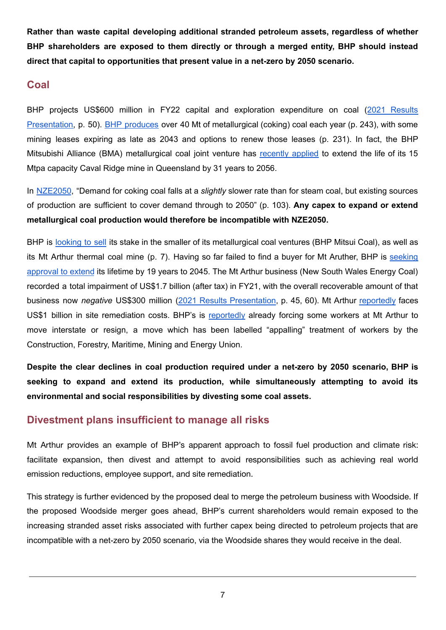**Rather than waste capital developing additional stranded petroleum assets, regardless of whether BHP shareholders are exposed to them directly or through a merged entity, BHP should instead direct that capital to opportunities that present value in a net-zero by 2050 scenario.**

### **Coal**

BHP projects US\$600 million in FY22 capital and exploration expenditure on coal (2021 [Results](https://www.bhp.com/investors/financial-results-operational-reviews/2021) [Presentation,](https://www.bhp.com/investors/financial-results-operational-reviews/2021) p. 50). BHP [produces](https://cdn-api.markitdigital.com/apiman-gateway/ASX/asx-research/1.0/file/2924-02420992-3A575751?access_token=83ff96335c2d45a094df02a206a39ff4) over 40 Mt of metallurgical (coking) coal each year (p. 243), with some mining leases expiring as late as 2043 and options to renew those leases (p. 231). In fact, the BHP Mitsubishi Alliance (BMA) metallurgical coal joint venture has [recently](https://www.australianmining.com.au/news/caval-ridge-extension-on-the-cards-for-bma/) applied to extend the life of its 15 Mtpa capacity Caval Ridge mine in Queensland by 31 years to 2056.

In [NZE2050](https://www.iea.org/reports/net-zero-by-2050), "Demand for coking coal falls at a *slightly* slower rate than for steam coal, but existing sources of production are sufficient to cover demand through to 2050" (p. 103). **Any capex to expand or extend metallurgical coal production would therefore be incompatible with NZE2050.**

BHP is [looking](https://cdn-api.markitdigital.com/apiman-gateway/ASX/asx-research/1.0/file/2924-02420992-3A575751?access_token=83ff96335c2d45a094df02a206a39ff4) to sell its stake in the smaller of its metallurgical coal ventures (BHP Mitsui Coal), as well as its Mt Arthur thermal coal mine (p. 7). Having so far failed to find a buyer for Mt Aruther, BHP is [seeking](https://www.reuters.com/business/energy/bhps-mt-arthur-bind-illustrates-minings-coal-dilemma-2021-04-30/) [approval](https://www.reuters.com/business/energy/bhps-mt-arthur-bind-illustrates-minings-coal-dilemma-2021-04-30/) to extend its lifetime by 19 years to 2045. The Mt Arthur business (New South Wales Energy Coal) recorded a total impairment of US\$1.7 billion (after tax) in FY21, with the overall recoverable amount of that business now *negative* US\$300 million (2021 Results [Presentation,](https://www.bhp.com/investors/financial-results-operational-reviews/2021) p. 45, 60). Mt Arthur [reportedly](https://www.reuters.com/business/energy/bhps-mt-arthur-bind-illustrates-minings-coal-dilemma-2021-04-30/) faces US\$1 billion in site remediation costs. BHP's is [reportedly](https://www.abc.net.au/news/2021-09-16/bhp-tells-miners-in-nsw-hunter-valley-move-interstate-or-resign/100460530) already forcing some workers at Mt Arthur to move interstate or resign, a move which has been labelled "appalling" treatment of workers by the Construction, Forestry, Maritime, Mining and Energy Union.

**Despite the clear declines in coal production required under a net-zero by 2050 scenario, BHP is seeking to expand and extend its production, while simultaneously attempting to avoid its environmental and social responsibilities by divesting some coal assets.**

### **Divestment plans insufficient to manage all risks**

Mt Arthur provides an example of BHP's apparent approach to fossil fuel production and climate risk: facilitate expansion, then divest and attempt to avoid responsibilities such as achieving real world emission reductions, employee support, and site remediation.

This strategy is further evidenced by the proposed deal to merge the petroleum business with Woodside. If the proposed Woodside merger goes ahead, BHP's current shareholders would remain exposed to the increasing stranded asset risks associated with further capex being directed to petroleum projects that are incompatible with a net-zero by 2050 scenario, via the Woodside shares they would receive in the deal.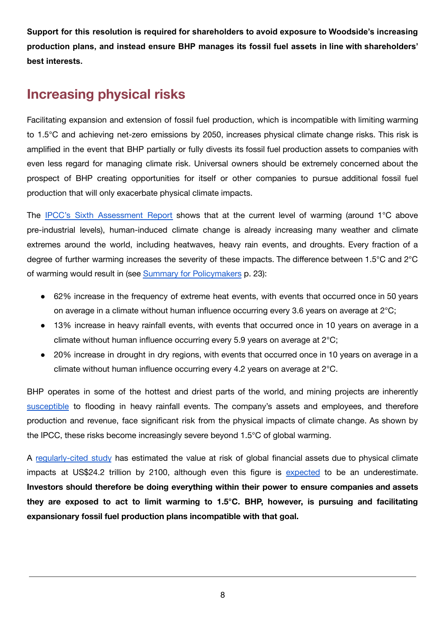**Support for this resolution is required for shareholders to avoid exposure to Woodside's increasing production plans, and instead ensure BHP manages its fossil fuel assets in line with shareholders' best interests.**

# **Increasing physical risks**

Facilitating expansion and extension of fossil fuel production, which is incompatible with limiting warming to 1.5°C and achieving net-zero emissions by 2050, increases physical climate change risks. This risk is amplified in the event that BHP partially or fully divests its fossil fuel production assets to companies with even less regard for managing climate risk. Universal owners should be extremely concerned about the prospect of BHP creating opportunities for itself or other companies to pursue additional fossil fuel production that will only exacerbate physical climate impacts.

The IPCC's Sixth [Assessment](https://www.ipcc.ch/report/ar6/wg1) Report shows that at the current level of warming (around 1°C above pre-industrial levels), human-induced climate change is already increasing many weather and climate extremes around the world, including heatwaves, heavy rain events, and droughts. Every fraction of a degree of further warming increases the severity of these impacts. The difference between 1.5°C and 2°C of warming would result in (see Summary for [Policymakers](https://www.ipcc.ch/report/ar6/wg1/downloads/report/IPCC_AR6_WGI_SPM.pdf) p. 23):

- 62% increase in the frequency of extreme heat events, with events that occurred once in 50 years on average in a climate without human influence occurring every 3.6 years on average at 2°C;
- 13% increase in heavy rainfall events, with events that occurred once in 10 years on average in a climate without human influence occurring every 5.9 years on average at 2°C;
- 20% increase in drought in dry regions, with events that occurred once in 10 years on average in a climate without human influence occurring every 4.2 years on average at 2°C.

BHP operates in some of the hottest and driest parts of the world, and mining projects are inherently [susceptible](https://www.wsj.com/articles/flooding-inundates-australias-coal-mines-and-farms-a-year-after-wildfires-raged-11616498507) to flooding in heavy rainfall events. The company's assets and employees, and therefore production and revenue, face significant risk from the physical impacts of climate change. As shown by the IPCC, these risks become increasingly severe beyond 1.5°C of global warming.

A [regularly-cited](https://www.nature.com/articles/nclimate2972) study has estimated the value at risk of global financial assets due to physical climate impacts at US\$24.2 trillion by 2100, although even this figure is [expected](https://impaxam.com/wp-content/uploads/2020/09/20200924_physical_climate_risk.pdf) to be an underestimate. **Investors should therefore be doing everything within their power to ensure companies and assets they are exposed to act to limit warming to 1.5°C. BHP, however, is pursuing and facilitating expansionary fossil fuel production plans incompatible with that goal.**